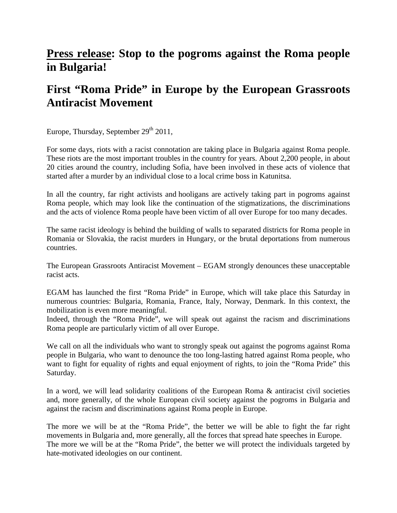## **Press release: Stop to the pogroms against the Roma people in Bulgaria!**

## **First "Roma Pride" in Europe by the European Grassroots Antiracist Movement**

Europe, Thursday, September  $29<sup>th</sup> 2011$ ,

For some days, riots with a racist connotation are taking place in Bulgaria against Roma people. These riots are the most important troubles in the country for years. About 2,200 people, in about 20 cities around the country, including Sofia, have been involved in these acts of violence that started after a murder by an individual close to a local crime boss in Katunitsa.

In all the country, far right activists and hooligans are actively taking part in pogroms against Roma people, which may look like the continuation of the stigmatizations, the discriminations and the acts of violence Roma people have been victim of all over Europe for too many decades.

The same racist ideology is behind the building of walls to separated districts for Roma people in Romania or Slovakia, the racist murders in Hungary, or the brutal deportations from numerous countries.

The European Grassroots Antiracist Movement – EGAM strongly denounces these unacceptable racist acts.

EGAM has launched the first "Roma Pride" in Europe, which will take place this Saturday in numerous countries: Bulgaria, Romania, France, Italy, Norway, Denmark. In this context, the mobilization is even more meaningful.

Indeed, through the "Roma Pride", we will speak out against the racism and discriminations Roma people are particularly victim of all over Europe.

We call on all the individuals who want to strongly speak out against the pogroms against Roma people in Bulgaria, who want to denounce the too long-lasting hatred against Roma people, who want to fight for equality of rights and equal enjoyment of rights, to join the "Roma Pride" this Saturday.

In a word, we will lead solidarity coalitions of the European Roma & antiracist civil societies and, more generally, of the whole European civil society against the pogroms in Bulgaria and against the racism and discriminations against Roma people in Europe.

The more we will be at the "Roma Pride", the better we will be able to fight the far right movements in Bulgaria and, more generally, all the forces that spread hate speeches in Europe. The more we will be at the "Roma Pride", the better we will protect the individuals targeted by hate-motivated ideologies on our continent.